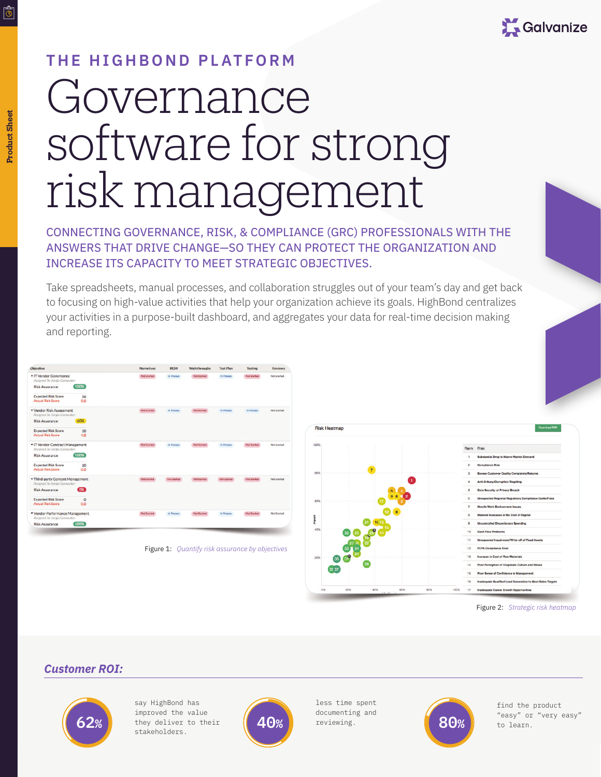

# **THE HIGHBOND PLATFORM**

# Governance software for strong risk management

CONNECTING GOVERNANCE, RISK, & COMPLIANCE (GRC) PROFESSIONALS WITH THE ANSWERS THAT DRIVE CHANGE—SO THEY CAN PROTECT THE ORGANIZATION AND INCREASE ITS CAPACITY TO MEET STRATEGIC OBJECTIVES.

Take spreadsheets, manual processes, and collaboration struggles out of your team's day and get back to focusing on high-value activities that help your organization achieve its goals. HighBond centralizes your activities in a purpose-built dashboard, and aggregates your data for real-time decision making and reporting.

| Objective                                                        |                  | <b>Narratives</b> | <b>RCM</b>  | <b>Walkthroughs</b> | <b>Test Plan</b> | <b>Testing</b> | <b>Reviews</b> |
|------------------------------------------------------------------|------------------|-------------------|-------------|---------------------|------------------|----------------|----------------|
| ▼ IT Vendor Governance<br>Assigned To: Sergiu Cernautan          |                  | Not Started       | In Process  | Not Started         | In Process       | Not Started    | Not Started    |
| <b>Risk Assurance</b>                                            | 100%             |                   |             |                     |                  |                |                |
| <b>Expected Risk Score</b><br><b>Actual Risk Score</b>           | 16<br>0.0        |                   |             |                     |                  |                |                |
| Vendor Risk Assessment<br>Assigned To: Sergiu Cernautan          |                  | Not Started       | In Process  | Not Started         | In Process       | In Process     | Not Started    |
| <b>Risk Assurance</b>                                            | 60%              |                   |             |                     |                  |                |                |
| <b>Expected Risk Score</b><br><b>Actual Rick Score</b>           | 10<br>4.0        |                   |             |                     |                  |                |                |
| T Vendor Contract Management<br>Assigned To: Sergiu Cornautan    |                  | Not Started       | In Process  | Not Started         | In Process       | Not Started    | Not Started    |
| <b>Risk Assurance</b>                                            | 100%             |                   |             |                     |                  |                |                |
| <b>Expected Risk Score</b><br><b>Actual Risk Score</b>           | 10<br>0.0        |                   |             |                     |                  |                |                |
| Third-party Content Management<br>Assigned To: Sergiu Cernautan  |                  | Not Started       | Not Started | Not Started         | Not Started      | Not Started    | Not Started    |
| <b>Risk Assurance</b>                                            | $\overline{cos}$ |                   |             |                     |                  |                |                |
| <b>Expected Risk Score</b><br><b>Actual Rick Score</b>           | $\circ$<br>0.0   |                   |             |                     |                  |                |                |
| ▼ Vendor Performance Management<br>Assigned To: Sergiu Cernautan |                  | Not Started       | In Process  | Not Started         | In Process       | Not Started    | Not Started    |
| <b>Risk Assurance</b>                                            | 100%             |                   |             |                     |                  |                |                |

Figure 1: *Quantify risk assurance by objectives*



Figure 2: *Strategic risk heatmap*

#### *Customer ROI:*



say HighBond has improved the value they deliver to their stakeholders. **62%** they deliver to their (40%) accumenting and the same of **80%** to learn.



less time spent documenting and reviewing.



find the product

िं